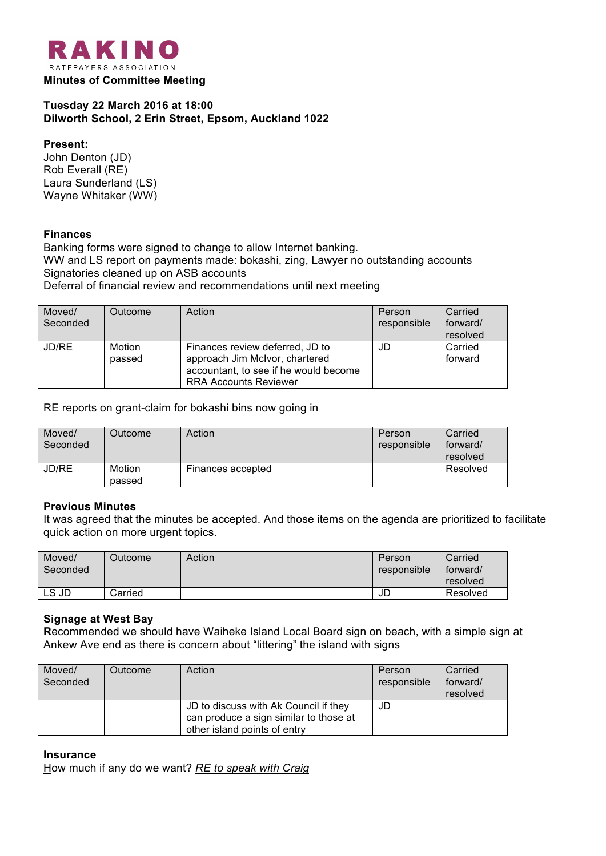

## **Tuesday 22 March 2016 at 18:00 Dilworth School, 2 Erin Street, Epsom, Auckland 1022**

**Present:** John Denton (JD) Rob Everall (RE) Laura Sunderland (LS) Wayne Whitaker (WW)

## **Finances**

Banking forms were signed to change to allow Internet banking. WW and LS report on payments made: bokashi, zing, Lawyer no outstanding accounts Signatories cleaned up on ASB accounts Deferral of financial review and recommendations until next meeting

| Moved/<br>Seconded | Outcome          | Action                                                                                                                                     | Person<br>responsible | Carried<br>forward/<br>resolved |
|--------------------|------------------|--------------------------------------------------------------------------------------------------------------------------------------------|-----------------------|---------------------------------|
| JD/RE              | Motion<br>passed | Finances review deferred, JD to<br>approach Jim McIvor, chartered<br>accountant, to see if he would become<br><b>RRA Accounts Reviewer</b> | JD                    | Carried<br>forward              |

RE reports on grant-claim for bokashi bins now going in

| Moved/<br>Seconded | Outcome          | Action            | Person<br>responsible | Carried<br>forward/<br>resolved |
|--------------------|------------------|-------------------|-----------------------|---------------------------------|
| JD/RE              | Motion<br>passed | Finances accepted |                       | Resolved                        |

#### **Previous Minutes**

It was agreed that the minutes be accepted. And those items on the agenda are prioritized to facilitate quick action on more urgent topics.

| Moved/<br>Seconded | Outcome | Action | Person<br>responsible | Carried<br>forward/<br>resolved |
|--------------------|---------|--------|-----------------------|---------------------------------|
| LS JD              | Carried |        | JD                    | Resolved                        |

#### **Signage at West Bay**

**R**ecommended we should have Waiheke Island Local Board sign on beach, with a simple sign at Ankew Ave end as there is concern about "littering" the island with signs

| Moved/<br>Seconded | Outcome | Action                                                                                                          | Person<br>responsible | Carried<br>forward/<br>resolved |
|--------------------|---------|-----------------------------------------------------------------------------------------------------------------|-----------------------|---------------------------------|
|                    |         | JD to discuss with Ak Council if they<br>can produce a sign similar to those at<br>other island points of entry | JD                    |                                 |

#### **Insurance**

How much if any do we want? *RE to speak with Craig*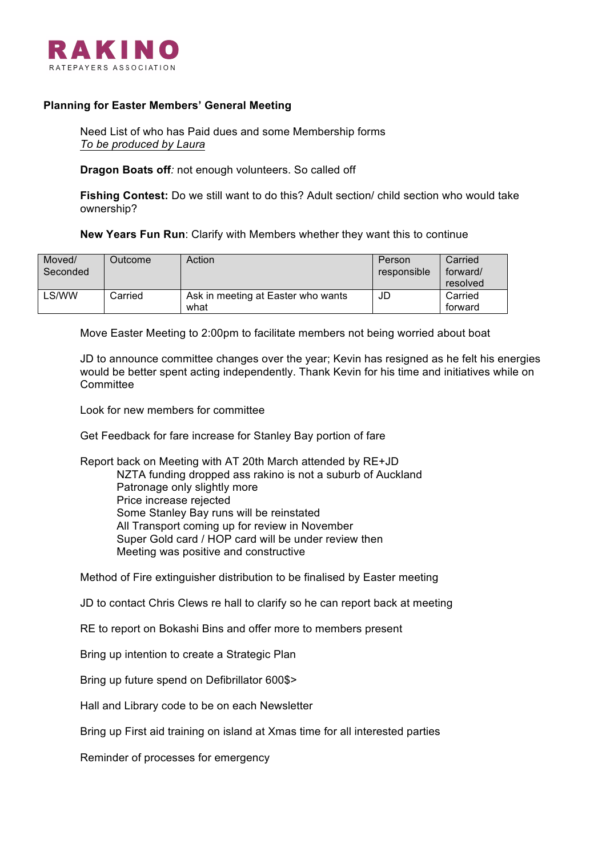

### **Planning for Easter Members' General Meeting**

Need List of who has Paid dues and some Membership forms *To be produced by Laura*

**Dragon Boats off***:* not enough volunteers. So called off

**Fishing Contest:** Do we still want to do this? Adult section/ child section who would take ownership?

**New Years Fun Run**: Clarify with Members whether they want this to continue

| Moved/   | Outcome | Action                             | Person      | Carried  |
|----------|---------|------------------------------------|-------------|----------|
| Seconded |         |                                    | responsible | forward/ |
|          |         |                                    |             | resolved |
| LS/WW    | Carried | Ask in meeting at Easter who wants | JD          | Carried  |
|          |         | what                               |             | forward  |

Move Easter Meeting to 2:00pm to facilitate members not being worried about boat

JD to announce committee changes over the year; Kevin has resigned as he felt his energies would be better spent acting independently. Thank Kevin for his time and initiatives while on **Committee** 

Look for new members for committee

Get Feedback for fare increase for Stanley Bay portion of fare

Report back on Meeting with AT 20th March attended by RE+JD NZTA funding dropped ass rakino is not a suburb of Auckland Patronage only slightly more Price increase rejected Some Stanley Bay runs will be reinstated All Transport coming up for review in November Super Gold card / HOP card will be under review then Meeting was positive and constructive

Method of Fire extinguisher distribution to be finalised by Easter meeting

JD to contact Chris Clews re hall to clarify so he can report back at meeting

RE to report on Bokashi Bins and offer more to members present

Bring up intention to create a Strategic Plan

Bring up future spend on Defibrillator 600\$>

Hall and Library code to be on each Newsletter

Bring up First aid training on island at Xmas time for all interested parties

Reminder of processes for emergency